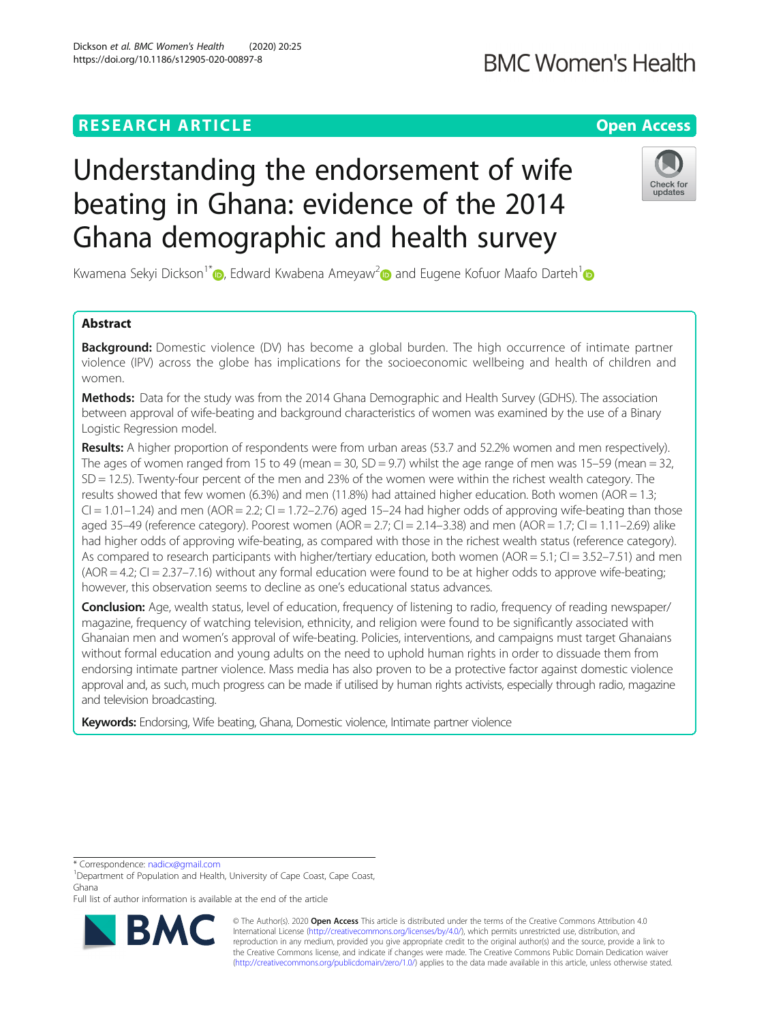# **RESEARCH ARTICLE Example 2014 12:30 The Contract of Contract ACCESS**

# Understanding the endorsement of wife beating in Ghana: evidence of the 2014 Ghana demographic and health survey

Kwamena Sekyi Dickson<sup>1[\\*](http://orcid.org/0000-0002-3152-2317)</sup> , Edward Kwabena Ameyaw<sup>[2](http://orcid.org/0000-0002-6617-237X)</sup> and Eugene Kofuor Maafo Darteh<sup>[1](http://orcid.org/0000-0003-4689-8891)</sup>

# Abstract

**Background:** Domestic violence (DV) has become a global burden. The high occurrence of intimate partner violence (IPV) across the globe has implications for the socioeconomic wellbeing and health of children and women.

Methods: Data for the study was from the 2014 Ghana Demographic and Health Survey (GDHS). The association between approval of wife-beating and background characteristics of women was examined by the use of a Binary Logistic Regression model.

Results: A higher proportion of respondents were from urban areas (53.7 and 52.2% women and men respectively). The ages of women ranged from 15 to 49 (mean =  $30$ , SD =  $9.7$ ) whilst the age range of men was 15–59 (mean =  $32$ , SD = 12.5). Twenty-four percent of the men and 23% of the women were within the richest wealth category. The results showed that few women (6.3%) and men (11.8%) had attained higher education. Both women (AOR = 1.3;  $Cl = 1.01-1.24$ ) and men (AOR = 2.2;  $Cl = 1.72-2.76$ ) aged 15-24 had higher odds of approving wife-beating than those aged 35–49 (reference category). Poorest women (AOR = 2.7; CI = 2.14–3.38) and men (AOR = 1.7; CI = 1.11–2.69) alike had higher odds of approving wife-beating, as compared with those in the richest wealth status (reference category). As compared to research participants with higher/tertiary education, both women (AOR =  $5.1$ ; CI =  $3.52-7.51$ ) and men (AOR = 4.2; CI = 2.37–7.16) without any formal education were found to be at higher odds to approve wife-beating; however, this observation seems to decline as one's educational status advances.

Conclusion: Age, wealth status, level of education, frequency of listening to radio, frequency of reading newspaper/ magazine, frequency of watching television, ethnicity, and religion were found to be significantly associated with Ghanaian men and women's approval of wife-beating. Policies, interventions, and campaigns must target Ghanaians without formal education and young adults on the need to uphold human rights in order to dissuade them from endorsing intimate partner violence. Mass media has also proven to be a protective factor against domestic violence approval and, as such, much progress can be made if utilised by human rights activists, especially through radio, magazine and television broadcasting.

Keywords: Endorsing, Wife beating, Ghana, Domestic violence, Intimate partner violence

© The Author(s). 2020 **Open Access** This article is distributed under the terms of the Creative Commons Attribution 4.0 International License [\(http://creativecommons.org/licenses/by/4.0/](http://creativecommons.org/licenses/by/4.0/)), which permits unrestricted use, distribution, and reproduction in any medium, provided you give appropriate credit to the original author(s) and the source, provide a link to the Creative Commons license, and indicate if changes were made. The Creative Commons Public Domain Dedication waiver [\(http://creativecommons.org/publicdomain/zero/1.0/](http://creativecommons.org/publicdomain/zero/1.0/)) applies to the data made available in this article, unless otherwise stated.





<sup>&</sup>lt;sup>1</sup>Department of Population and Health, University of Cape Coast, Cape Coast, Ghana

Full list of author information is available at the end of the article

<sup>\*</sup> Correspondence: [nadicx@gmail.com](mailto:nadicx@gmail.com) <sup>1</sup>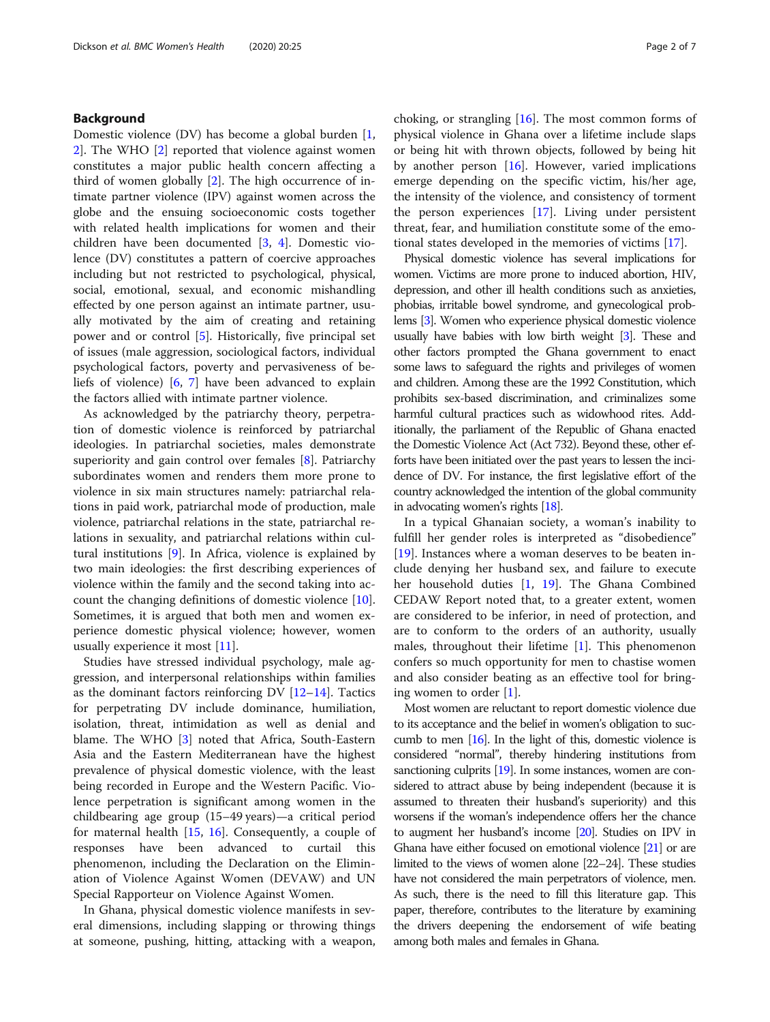# Background

Domestic violence (DV) has become a global burden [\[1](#page-5-0), [2\]](#page-5-0). The WHO [\[2](#page-5-0)] reported that violence against women constitutes a major public health concern affecting a third of women globally [[2](#page-5-0)]. The high occurrence of intimate partner violence (IPV) against women across the globe and the ensuing socioeconomic costs together with related health implications for women and their children have been documented [\[3](#page-5-0), [4](#page-5-0)]. Domestic violence (DV) constitutes a pattern of coercive approaches including but not restricted to psychological, physical, social, emotional, sexual, and economic mishandling effected by one person against an intimate partner, usually motivated by the aim of creating and retaining power and or control [\[5\]](#page-5-0). Historically, five principal set of issues (male aggression, sociological factors, individual psychological factors, poverty and pervasiveness of beliefs of violence) [\[6](#page-5-0), [7\]](#page-5-0) have been advanced to explain the factors allied with intimate partner violence.

As acknowledged by the patriarchy theory, perpetration of domestic violence is reinforced by patriarchal ideologies. In patriarchal societies, males demonstrate superiority and gain control over females [\[8](#page-5-0)]. Patriarchy subordinates women and renders them more prone to violence in six main structures namely: patriarchal relations in paid work, patriarchal mode of production, male violence, patriarchal relations in the state, patriarchal relations in sexuality, and patriarchal relations within cultural institutions [[9\]](#page-5-0). In Africa, violence is explained by two main ideologies: the first describing experiences of violence within the family and the second taking into account the changing definitions of domestic violence [\[10](#page-6-0)]. Sometimes, it is argued that both men and women experience domestic physical violence; however, women usually experience it most [[11](#page-6-0)].

Studies have stressed individual psychology, male aggression, and interpersonal relationships within families as the dominant factors reinforcing DV [[12](#page-6-0)–[14\]](#page-6-0). Tactics for perpetrating DV include dominance, humiliation, isolation, threat, intimidation as well as denial and blame. The WHO [[3\]](#page-5-0) noted that Africa, South-Eastern Asia and the Eastern Mediterranean have the highest prevalence of physical domestic violence, with the least being recorded in Europe and the Western Pacific. Violence perpetration is significant among women in the childbearing age group (15–49 years)—a critical period for maternal health [\[15](#page-6-0), [16](#page-6-0)]. Consequently, a couple of responses have been advanced to curtail this phenomenon, including the Declaration on the Elimination of Violence Against Women (DEVAW) and UN Special Rapporteur on Violence Against Women.

In Ghana, physical domestic violence manifests in several dimensions, including slapping or throwing things at someone, pushing, hitting, attacking with a weapon, choking, or strangling [[16\]](#page-6-0). The most common forms of physical violence in Ghana over a lifetime include slaps or being hit with thrown objects, followed by being hit by another person [\[16](#page-6-0)]. However, varied implications emerge depending on the specific victim, his/her age, the intensity of the violence, and consistency of torment the person experiences [\[17](#page-6-0)]. Living under persistent threat, fear, and humiliation constitute some of the emotional states developed in the memories of victims [[17](#page-6-0)].

Physical domestic violence has several implications for women. Victims are more prone to induced abortion, HIV, depression, and other ill health conditions such as anxieties, phobias, irritable bowel syndrome, and gynecological problems [\[3\]](#page-5-0). Women who experience physical domestic violence usually have babies with low birth weight [\[3\]](#page-5-0). These and other factors prompted the Ghana government to enact some laws to safeguard the rights and privileges of women and children. Among these are the 1992 Constitution, which prohibits sex-based discrimination, and criminalizes some harmful cultural practices such as widowhood rites. Additionally, the parliament of the Republic of Ghana enacted the Domestic Violence Act (Act 732). Beyond these, other efforts have been initiated over the past years to lessen the incidence of DV. For instance, the first legislative effort of the country acknowledged the intention of the global community in advocating women's rights [\[18\]](#page-6-0).

In a typical Ghanaian society, a woman's inability to fulfill her gender roles is interpreted as "disobedience" [[19\]](#page-6-0). Instances where a woman deserves to be beaten include denying her husband sex, and failure to execute her household duties [\[1](#page-5-0), [19](#page-6-0)]. The Ghana Combined CEDAW Report noted that, to a greater extent, women are considered to be inferior, in need of protection, and are to conform to the orders of an authority, usually males, throughout their lifetime  $[1]$  $[1]$ . This phenomenon confers so much opportunity for men to chastise women and also consider beating as an effective tool for bringing women to order [[1\]](#page-5-0).

Most women are reluctant to report domestic violence due to its acceptance and the belief in women's obligation to succumb to men [\[16](#page-6-0)]. In the light of this, domestic violence is considered "normal", thereby hindering institutions from sanctioning culprits [\[19](#page-6-0)]. In some instances, women are considered to attract abuse by being independent (because it is assumed to threaten their husband's superiority) and this worsens if the woman's independence offers her the chance to augment her husband's income [\[20](#page-6-0)]. Studies on IPV in Ghana have either focused on emotional violence [[21\]](#page-6-0) or are limited to the views of women alone [22–24]. These studies have not considered the main perpetrators of violence, men. As such, there is the need to fill this literature gap. This paper, therefore, contributes to the literature by examining the drivers deepening the endorsement of wife beating among both males and females in Ghana.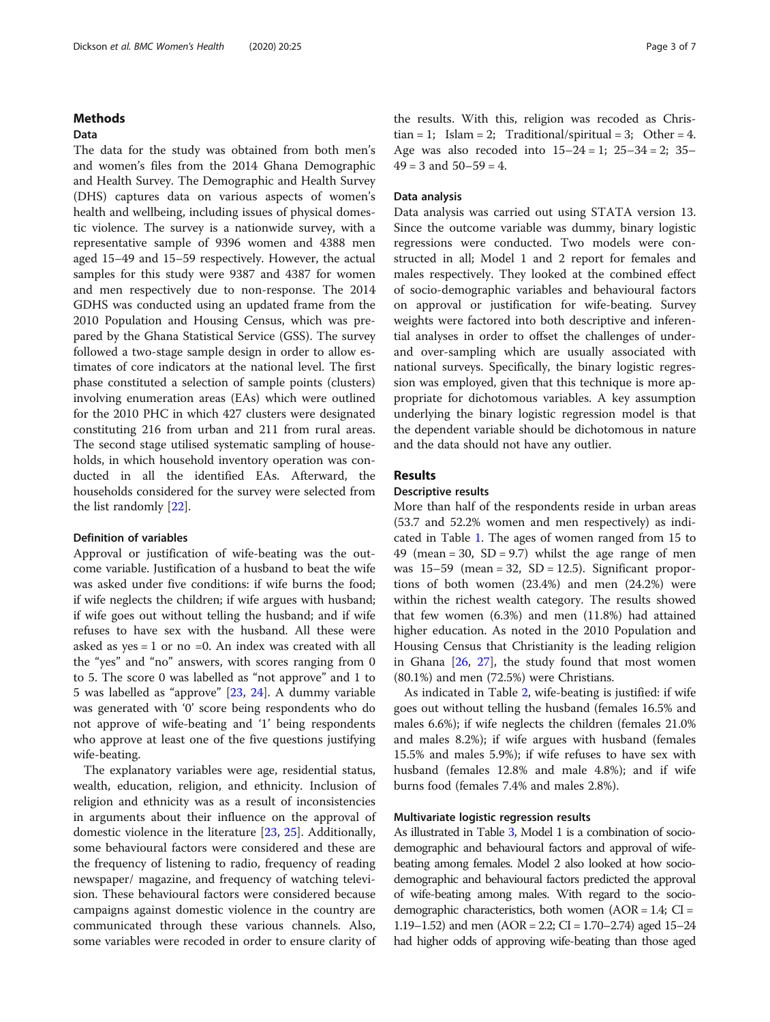# Methods

# Data

The data for the study was obtained from both men's and women's files from the 2014 Ghana Demographic and Health Survey. The Demographic and Health Survey (DHS) captures data on various aspects of women's health and wellbeing, including issues of physical domestic violence. The survey is a nationwide survey, with a representative sample of 9396 women and 4388 men aged 15–49 and 15–59 respectively. However, the actual samples for this study were 9387 and 4387 for women and men respectively due to non-response. The 2014 GDHS was conducted using an updated frame from the 2010 Population and Housing Census, which was prepared by the Ghana Statistical Service (GSS). The survey followed a two-stage sample design in order to allow estimates of core indicators at the national level. The first phase constituted a selection of sample points (clusters) involving enumeration areas (EAs) which were outlined for the 2010 PHC in which 427 clusters were designated constituting 216 from urban and 211 from rural areas. The second stage utilised systematic sampling of households, in which household inventory operation was conducted in all the identified EAs. Afterward, the households considered for the survey were selected from the list randomly [[22](#page-6-0)].

### Definition of variables

Approval or justification of wife-beating was the outcome variable. Justification of a husband to beat the wife was asked under five conditions: if wife burns the food; if wife neglects the children; if wife argues with husband; if wife goes out without telling the husband; and if wife refuses to have sex with the husband. All these were asked as  $yes = 1$  or no  $= 0$ . An index was created with all the "yes" and "no" answers, with scores ranging from 0 to 5. The score 0 was labelled as "not approve" and 1 to 5 was labelled as "approve" [\[23,](#page-6-0) [24\]](#page-6-0). A dummy variable was generated with '0' score being respondents who do not approve of wife-beating and '1' being respondents who approve at least one of the five questions justifying wife-beating.

The explanatory variables were age, residential status, wealth, education, religion, and ethnicity. Inclusion of religion and ethnicity was as a result of inconsistencies in arguments about their influence on the approval of domestic violence in the literature [[23](#page-6-0), [25\]](#page-6-0). Additionally, some behavioural factors were considered and these are the frequency of listening to radio, frequency of reading newspaper/ magazine, and frequency of watching television. These behavioural factors were considered because campaigns against domestic violence in the country are communicated through these various channels. Also, some variables were recoded in order to ensure clarity of

the results. With this, religion was recoded as Christian = 1; Islam = 2; Traditional/spiritual = 3; Other = 4. Age was also recoded into  $15-24 = 1$ ;  $25-34 = 2$ ;  $35 49 = 3$  and  $50-59 = 4$ .

#### Data analysis

Data analysis was carried out using STATA version 13. Since the outcome variable was dummy, binary logistic regressions were conducted. Two models were constructed in all; Model 1 and 2 report for females and males respectively. They looked at the combined effect of socio-demographic variables and behavioural factors on approval or justification for wife-beating. Survey weights were factored into both descriptive and inferential analyses in order to offset the challenges of underand over-sampling which are usually associated with national surveys. Specifically, the binary logistic regression was employed, given that this technique is more appropriate for dichotomous variables. A key assumption underlying the binary logistic regression model is that the dependent variable should be dichotomous in nature and the data should not have any outlier.

# **Results**

### Descriptive results

More than half of the respondents reside in urban areas (53.7 and 52.2% women and men respectively) as indicated in Table [1](#page-3-0). The ages of women ranged from 15 to 49 (mean = 30,  $SD = 9.7$ ) whilst the age range of men was  $15-59$  (mean = 32, SD = 12.5). Significant proportions of both women (23.4%) and men (24.2%) were within the richest wealth category. The results showed that few women (6.3%) and men (11.8%) had attained higher education. As noted in the 2010 Population and Housing Census that Christianity is the leading religion in Ghana [\[26](#page-6-0), [27](#page-6-0)], the study found that most women (80.1%) and men (72.5%) were Christians.

As indicated in Table [2,](#page-3-0) wife-beating is justified: if wife goes out without telling the husband (females 16.5% and males 6.6%); if wife neglects the children (females 21.0% and males 8.2%); if wife argues with husband (females 15.5% and males 5.9%); if wife refuses to have sex with husband (females 12.8% and male 4.8%); and if wife burns food (females 7.4% and males 2.8%).

### Multivariate logistic regression results

As illustrated in Table [3,](#page-4-0) Model 1 is a combination of sociodemographic and behavioural factors and approval of wifebeating among females. Model 2 also looked at how sociodemographic and behavioural factors predicted the approval of wife-beating among males. With regard to the sociodemographic characteristics, both women  $(AOR = 1.4; CI =$ 1.19–1.52) and men  $(AOR = 2.2; CI = 1.70-2.74)$  aged 15–24 had higher odds of approving wife-beating than those aged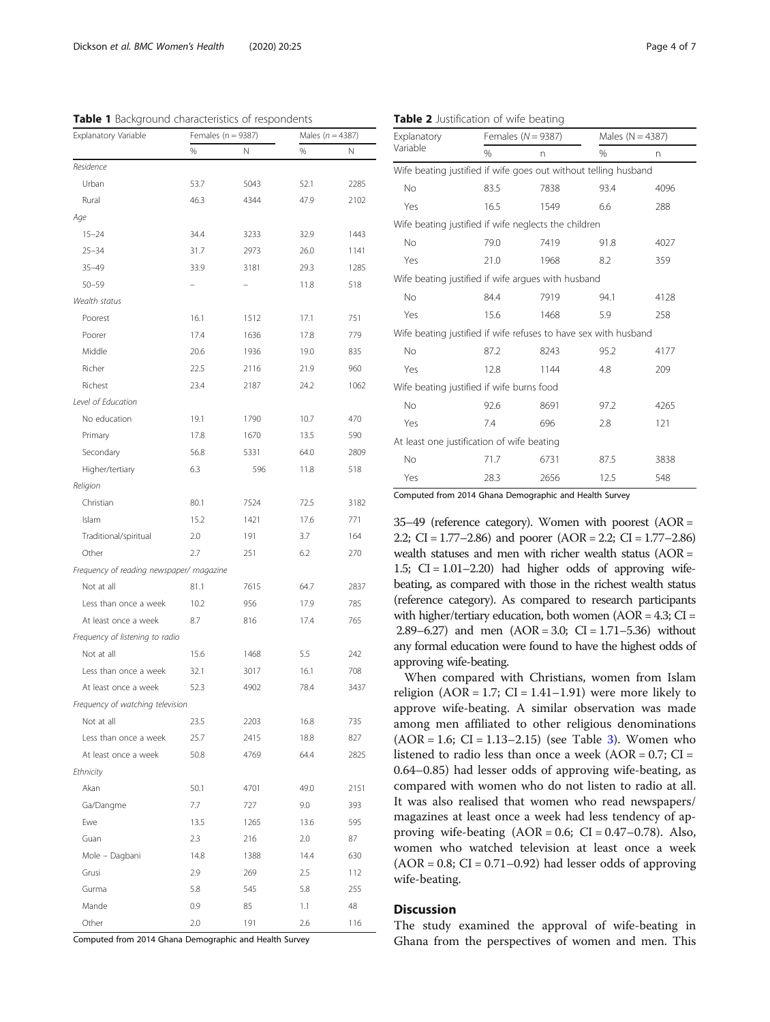<span id="page-3-0"></span>Table 1 Background characteristics of respondents

| <b>Explanatory Variable</b>              | Females (n = 9387)       |      | Males ( $n = 4387$ ) |      |
|------------------------------------------|--------------------------|------|----------------------|------|
|                                          | %                        | N    | %                    | N    |
| Residence                                |                          |      |                      |      |
| Urban                                    | 53.7                     | 5043 | 52.1                 | 2285 |
| Rural                                    | 46.3                     | 4344 | 47.9                 | 2102 |
| Age                                      |                          |      |                      |      |
| $15 - 24$                                | 34.4                     | 3233 | 32.9                 | 1443 |
| $25 - 34$                                | 31.7                     | 2973 | 26.0                 | 1141 |
| $35 - 49$                                | 33.9                     | 3181 | 29.3                 | 1285 |
| $50 - 59$                                | $\overline{\phantom{0}}$ |      | 11.8                 | 518  |
| Wealth status                            |                          |      |                      |      |
| Poorest                                  | 16.1                     | 1512 | 17.1                 | 751  |
| Poorer                                   | 17.4                     | 1636 | 17.8                 | 779  |
| Middle                                   | 20.6                     | 1936 | 19.0                 | 835  |
| Richer                                   | 22.5                     | 2116 | 21.9                 | 960  |
| Richest                                  | 23.4                     | 2187 | 24.2                 | 1062 |
| Level of Education                       |                          |      |                      |      |
| No education                             | 19.1                     | 1790 | 10.7                 | 470  |
| Primary                                  | 17.8                     | 1670 | 13.5                 | 590  |
| Secondary                                | 56.8                     | 5331 | 64.0                 | 2809 |
| Higher/tertiary                          | 6.3                      | 596  | 11.8                 | 518  |
| Religion                                 |                          |      |                      |      |
| Christian                                | 80.1                     | 7524 | 72.5                 | 3182 |
| Islam                                    | 15.2                     | 1421 | 17.6                 | 771  |
| Traditional/spiritual                    | 2.0                      | 191  | 3.7                  | 164  |
| Other                                    | 2.7                      | 251  | 6.2                  | 270  |
| Frequency of reading newspaper/ magazine |                          |      |                      |      |
| Not at all                               | 81.1                     | 7615 | 64.7                 | 2837 |
| Less than once a week                    | 10.2                     | 956  | 17.9                 | 785  |
| At least once a week                     | 8.7                      | 816  | 17.4                 | 765  |
| Frequency of listening to radio          |                          |      |                      |      |
| Not at all                               | 15.6                     | 1468 | 5.5                  | 242  |
| Less than once a week                    | 32.1                     | 3017 | 16.1                 | 708  |
| At least once a week                     | 52.3                     | 4902 | 78.4                 | 3437 |
| Frequency of watching television         |                          |      |                      |      |
| Not at all                               | 23.5                     | 2203 | 16.8                 | 735  |
| Less than once a week                    | 25.7                     | 2415 | 18.8                 | 827  |
| At least once a week                     | 50.8                     | 4769 | 64.4                 | 2825 |
| Ethnicity                                |                          |      |                      |      |
| Akan                                     | 50.1                     | 4701 | 49.0                 | 2151 |
| Ga/Dangme                                | 7.7                      | 727  | 9.0                  | 393  |
| Ewe                                      | 13.5                     | 1265 | 13.6                 | 595  |
| Guan                                     | 2.3                      | 216  | 2.0                  | 87   |
| Mole - Dagbani                           | 14.8                     | 1388 | 14.4                 | 630  |
| Grusi                                    | 2.9                      | 269  | 2.5                  | 112  |
| Gurma                                    | 5.8                      | 545  | 5.8                  | 255  |
| Mande                                    | 0.9                      | 85   | 1.1                  | 48   |
| Other                                    | 2.0                      | 191  | 2.6                  | 116  |

Computed from 2014 Ghana Demographic and Health Survey

Explanatory Variable Females ( $N = 9387$ ) Males ( $N = 4387$ ) %n %n Wife beating justified if wife goes out without telling husband No 83.5 7838 93.4 4096 Yes 16.5 1549 6.6 288 Wife beating justified if wife neglects the children No 79.0 7419 91.8 4027 Yes 21.0 1968 8.2 359 Wife beating justified if wife argues with husband No 84.4 7919 94.1 4128 Yes 15.6 1468 5.9 258 Wife beating justified if wife refuses to have sex with husband No 87.2 8243 95.2 4177 Yes 12.8 1144 4.8 209 Wife beating justified if wife burns food No 92.6 8691 97.2 4265 Yes 7.4 696 2.8 121 At least one justification of wife beating No 71.7 6731 87.5 3838 Yes 28.3 2656 12.5 548

Table 2 Justification of wife beating

Computed from 2014 Ghana Demographic and Health Survey

35–49 (reference category). Women with poorest (AOR = 2.2; CI = 1.77–2.86) and poorer (AOR = 2.2; CI = 1.77–2.86) wealth statuses and men with richer wealth status (AOR = 1.5;  $CI = 1.01 - 2.20$  had higher odds of approving wifebeating, as compared with those in the richest wealth status (reference category). As compared to research participants with higher/tertiary education, both women  $(AOR = 4.3; CI =$ 2.89–6.27) and men  $(AOR = 3.0; CI = 1.71–5.36)$  without any formal education were found to have the highest odds of approving wife-beating.

When compared with Christians, women from Islam religion  $(AOR = 1.7; CI = 1.41 - 1.91)$  were more likely to approve wife-beating. A similar observation was made among men affiliated to other religious denominations  $(AOR = 1.6; CI = 1.13-2.15)$  (see Table [3\)](#page-4-0). Women who listened to radio less than once a week ( $AOR = 0.7$ ;  $CI =$ 0.64–0.85) had lesser odds of approving wife-beating, as compared with women who do not listen to radio at all. It was also realised that women who read newspapers/ magazines at least once a week had less tendency of approving wife-beating  $(AOR = 0.6; CI = 0.47-0.78)$ . Also, women who watched television at least once a week  $(AOR = 0.8; CI = 0.71 - 0.92)$  had lesser odds of approving wife-beating.

# **Discussion**

The study examined the approval of wife-beating in Ghana from the perspectives of women and men. This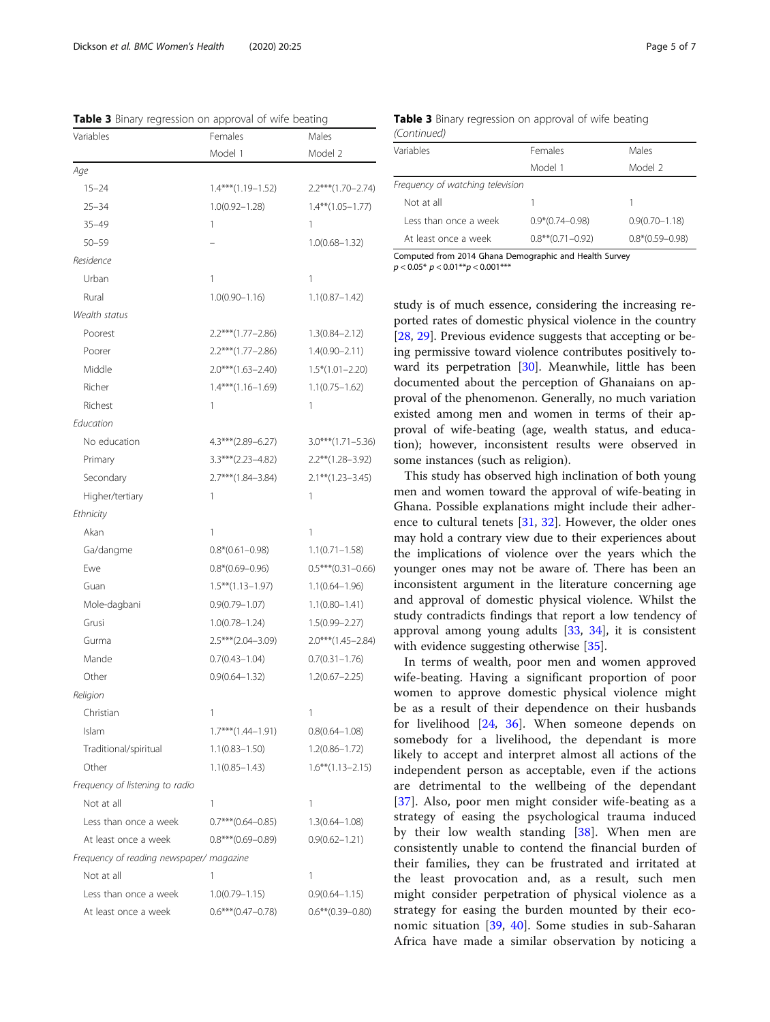<span id="page-4-0"></span>Dickson et al. BMC Women's Health (2020) 20:25 Page 5 of 7

Table 3 Binary regression on approval of wife beating

| Variables                               | Females                | Males                    |
|-----------------------------------------|------------------------|--------------------------|
|                                         | Model 1                | Model 2                  |
| Age                                     |                        |                          |
| $15 - 24$                               | $1.4***(1.19-1.52)$    | $2.2***$ (1.70-2.74)     |
| $25 - 34$                               | $1.0(0.92 - 1.28)$     | $1.4***(1.05-1.77)$      |
| $35 - 49$                               | 1                      | 1                        |
| $50 - 59$                               |                        | $1.0(0.68 - 1.32)$       |
| Residence                               |                        |                          |
| Urban                                   | 1                      | 1                        |
| Rural                                   | $1.0(0.90 - 1.16)$     | $1.1(0.87 - 1.42)$       |
| Wealth status                           |                        |                          |
| Poorest                                 | $2.2***$ (1.77–2.86)   | $1.3(0.84 - 2.12)$       |
| Poorer                                  | $2.2***$ (1.77–2.86)   | $1.4(0.90 - 2.11)$       |
| Middle                                  | $2.0***$ (1.63-2.40)   | $1.5*(1.01 - 2.20)$      |
| Richer                                  | $1.4***(1.16-1.69)$    | $1.1(0.75 - 1.62)$       |
| Richest                                 | 1                      | 1                        |
| Education                               |                        |                          |
| No education                            | $4.3***$ (2.89-6.27)   | $3.0***$ (1.71–5.36)     |
| Primary                                 | $3.3***$ (2.23 - 4.82) | $2.2$ ** $(1.28 - 3.92)$ |
| Secondary                               | $2.7***$ (1.84-3.84)   | $2.1***(1.23-3.45)$      |
| Higher/tertiary                         | 1                      | 1                        |
| Ethnicity                               |                        |                          |
| Akan                                    | 1                      | 1                        |
| Ga/dangme                               | $0.8*(0.61 - 0.98)$    | $1.1(0.71 - 1.58)$       |
| Ewe                                     | $0.8*(0.69 - 0.96)$    | $0.5***(0.31-0.66)$      |
| Guan                                    | $1.5***(1.13-1.97)$    | $1.1(0.64 - 1.96)$       |
| Mole-dagbani                            | $0.9(0.79 - 1.07)$     | $1.1(0.80 - 1.41)$       |
| Grusi                                   | $1.0(0.78 - 1.24)$     | $1.5(0.99 - 2.27)$       |
| Gurma                                   | $2.5***$ (2.04-3.09)   | $2.0***$ (1.45-2.84)     |
| Mande                                   | $0.7(0.43 - 1.04)$     | $0.7(0.31 - 1.76)$       |
| Other                                   | $0.9(0.64 - 1.32)$     | $1.2(0.67 - 2.25)$       |
| Religion                                |                        |                          |
| Christian                               | 1                      | 1                        |
| Islam                                   | $1.7***$ (1.44-1.91)   | $0.8(0.64 - 1.08)$       |
| Traditional/spiritual                   | $1.1(0.83 - 1.50)$     | $1.2(0.86 - 1.72)$       |
| Other                                   | $1.1(0.85 - 1.43)$     | $1.6***(1.13-2.15)$      |
| Frequency of listening to radio         |                        |                          |
| Not at all                              | 1                      | 1                        |
| Less than once a week                   | $0.7***$ (0.64-0.85)   | $1.3(0.64 - 1.08)$       |
| At least once a week                    | $0.8***$ (0.69-0.89)   | $0.9(0.62 - 1.21)$       |
| Frequency of reading newspaper/magazine |                        |                          |
| Not at all                              | 1                      | 1                        |
| Less than once a week                   | $1.0(0.79 - 1.15)$     | $0.9(0.64 - 1.15)$       |
| At least once a week                    | $0.6***(0.47-0.78)$    | $0.6**$ (0.39 - 0.80)    |

|             | <b>Table 3</b> Binary regression on approval of wife beating |
|-------------|--------------------------------------------------------------|
| (Continued) |                                                              |

| Variables                        | Females                  | Males               |
|----------------------------------|--------------------------|---------------------|
|                                  | Model 1                  | Model 2             |
| Frequency of watching television |                          |                     |
| Not at all                       |                          |                     |
| Less than once a week            | $0.9*(0.74 - 0.98)$      | $0.9(0.70 - 1.18)$  |
| At least once a week             | $0.8$ ** $(0.71 - 0.92)$ | $0.8*(0.59 - 0.98)$ |

Computed from 2014 Ghana Demographic and Health Survey  $p < 0.05^*$   $p < 0.01^{**}$  $p < 0.001^{***}$ 

study is of much essence, considering the increasing reported rates of domestic physical violence in the country [[28,](#page-6-0) [29\]](#page-6-0). Previous evidence suggests that accepting or being permissive toward violence contributes positively toward its perpetration [[30\]](#page-6-0). Meanwhile, little has been documented about the perception of Ghanaians on approval of the phenomenon. Generally, no much variation existed among men and women in terms of their approval of wife-beating (age, wealth status, and education); however, inconsistent results were observed in some instances (such as religion).

This study has observed high inclination of both young men and women toward the approval of wife-beating in Ghana. Possible explanations might include their adherence to cultural tenets [[31,](#page-6-0) [32\]](#page-6-0). However, the older ones may hold a contrary view due to their experiences about the implications of violence over the years which the younger ones may not be aware of. There has been an inconsistent argument in the literature concerning age and approval of domestic physical violence. Whilst the study contradicts findings that report a low tendency of approval among young adults  $[33, 34]$  $[33, 34]$  $[33, 34]$ , it is consistent with evidence suggesting otherwise [[35](#page-6-0)].

In terms of wealth, poor men and women approved wife-beating. Having a significant proportion of poor women to approve domestic physical violence might be as a result of their dependence on their husbands for livelihood [[24,](#page-6-0) [36](#page-6-0)]. When someone depends on somebody for a livelihood, the dependant is more likely to accept and interpret almost all actions of the independent person as acceptable, even if the actions are detrimental to the wellbeing of the dependant [[37\]](#page-6-0). Also, poor men might consider wife-beating as a strategy of easing the psychological trauma induced by their low wealth standing [\[38](#page-6-0)]. When men are consistently unable to contend the financial burden of their families, they can be frustrated and irritated at the least provocation and, as a result, such men might consider perpetration of physical violence as a strategy for easing the burden mounted by their economic situation [[39,](#page-6-0) [40](#page-6-0)]. Some studies in sub-Saharan Africa have made a similar observation by noticing a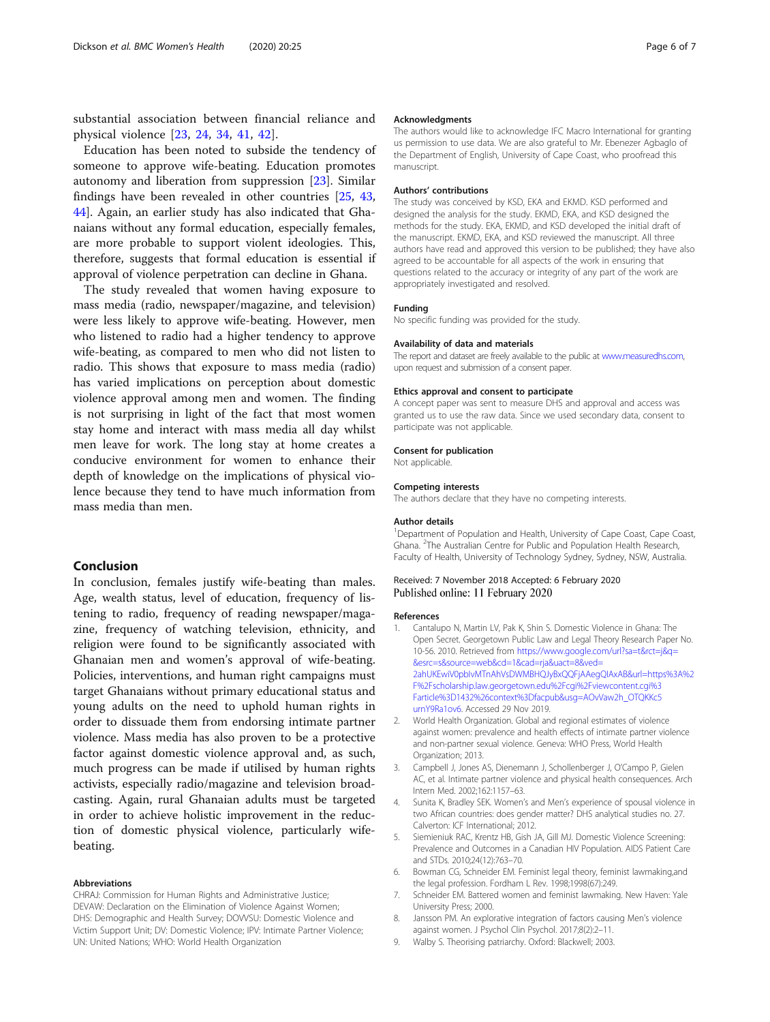<span id="page-5-0"></span>substantial association between financial reliance and physical violence [\[23](#page-6-0), [24](#page-6-0), [34,](#page-6-0) [41,](#page-6-0) [42\]](#page-6-0).

Education has been noted to subside the tendency of someone to approve wife-beating. Education promotes autonomy and liberation from suppression [[23](#page-6-0)]. Similar findings have been revealed in other countries [\[25](#page-6-0), [43](#page-6-0), [44\]](#page-6-0). Again, an earlier study has also indicated that Ghanaians without any formal education, especially females, are more probable to support violent ideologies. This, therefore, suggests that formal education is essential if approval of violence perpetration can decline in Ghana.

The study revealed that women having exposure to mass media (radio, newspaper/magazine, and television) were less likely to approve wife-beating. However, men who listened to radio had a higher tendency to approve wife-beating, as compared to men who did not listen to radio. This shows that exposure to mass media (radio) has varied implications on perception about domestic violence approval among men and women. The finding is not surprising in light of the fact that most women stay home and interact with mass media all day whilst men leave for work. The long stay at home creates a conducive environment for women to enhance their depth of knowledge on the implications of physical violence because they tend to have much information from mass media than men.

#### Conclusion

In conclusion, females justify wife-beating than males. Age, wealth status, level of education, frequency of listening to radio, frequency of reading newspaper/magazine, frequency of watching television, ethnicity, and religion were found to be significantly associated with Ghanaian men and women's approval of wife-beating. Policies, interventions, and human right campaigns must target Ghanaians without primary educational status and young adults on the need to uphold human rights in order to dissuade them from endorsing intimate partner violence. Mass media has also proven to be a protective factor against domestic violence approval and, as such, much progress can be made if utilised by human rights activists, especially radio/magazine and television broadcasting. Again, rural Ghanaian adults must be targeted in order to achieve holistic improvement in the reduction of domestic physical violence, particularly wifebeating.

#### Abbreviations

CHRAJ: Commission for Human Rights and Administrative Justice; DEVAW: Declaration on the Elimination of Violence Against Women; DHS: Demographic and Health Survey; DOVVSU: Domestic Violence and Victim Support Unit; DV: Domestic Violence; IPV: Intimate Partner Violence; UN: United Nations; WHO: World Health Organization

#### Acknowledgments

The authors would like to acknowledge IFC Macro International for granting us permission to use data. We are also grateful to Mr. Ebenezer Agbaglo of the Department of English, University of Cape Coast, who proofread this manuscript.

#### Authors' contributions

The study was conceived by KSD, EKA and EKMD. KSD performed and designed the analysis for the study. EKMD, EKA, and KSD designed the methods for the study. EKA, EKMD, and KSD developed the initial draft of the manuscript. EKMD, EKA, and KSD reviewed the manuscript. All three authors have read and approved this version to be published; they have also agreed to be accountable for all aspects of the work in ensuring that questions related to the accuracy or integrity of any part of the work are appropriately investigated and resolved.

#### Funding

No specific funding was provided for the study.

#### Availability of data and materials

The report and dataset are freely available to the public at [www.measuredhs.com,](http://www.measuredhs.com) upon request and submission of a consent paper.

#### Ethics approval and consent to participate

A concept paper was sent to measure DHS and approval and access was granted us to use the raw data. Since we used secondary data, consent to participate was not applicable.

#### Consent for publication

Not applicable.

#### Competing interests

The authors declare that they have no competing interests.

#### Author details

<sup>1</sup>Department of Population and Health, University of Cape Coast, Cape Coast, Ghana. <sup>2</sup>The Australian Centre for Public and Population Health Research Faculty of Health, University of Technology Sydney, Sydney, NSW, Australia.

#### Received: 7 November 2018 Accepted: 6 February 2020 Published online: 11 February 2020

#### References

- 1. Cantalupo N, Martin LV, Pak K, Shin S. Domestic Violence in Ghana: The Open Secret. Georgetown Public Law and Legal Theory Research Paper No. 10-56. 2010. Retrieved from [https://www.google.com/url?sa=t&rct=j&q=](https://www.google.com/url?sa=t&rct=j&q=&esrc=s&source=web&cd=1&cad=rja&uact=8&ved=2ahUKEwiV0pbIvMTnAhVsDWMBHQJyBxQQFjAAegQIAxAB&url=https%3A%2F%2Fscholarship.law.georgetown.edu%2Fcgi%2Fviewcontent.cgi%3Farticle%3D1432%26context%3Dfacpub&usg=AOvVaw2h_OTQKKc5urnY9Ra1ov6) [&esrc=s&source=web&cd=1&cad=rja&uact=8&ved=](https://www.google.com/url?sa=t&rct=j&q=&esrc=s&source=web&cd=1&cad=rja&uact=8&ved=2ahUKEwiV0pbIvMTnAhVsDWMBHQJyBxQQFjAAegQIAxAB&url=https%3A%2F%2Fscholarship.law.georgetown.edu%2Fcgi%2Fviewcontent.cgi%3Farticle%3D1432%26context%3Dfacpub&usg=AOvVaw2h_OTQKKc5urnY9Ra1ov6) [2ahUKEwiV0pbIvMTnAhVsDWMBHQJyBxQQFjAAegQIAxAB&url=https%3A%2](https://www.google.com/url?sa=t&rct=j&q=&esrc=s&source=web&cd=1&cad=rja&uact=8&ved=2ahUKEwiV0pbIvMTnAhVsDWMBHQJyBxQQFjAAegQIAxAB&url=https%3A%2F%2Fscholarship.law.georgetown.edu%2Fcgi%2Fviewcontent.cgi%3Farticle%3D1432%26context%3Dfacpub&usg=AOvVaw2h_OTQKKc5urnY9Ra1ov6) [F%2Fscholarship.law.georgetown.edu%2Fcgi%2Fviewcontent.cgi%3](https://www.google.com/url?sa=t&rct=j&q=&esrc=s&source=web&cd=1&cad=rja&uact=8&ved=2ahUKEwiV0pbIvMTnAhVsDWMBHQJyBxQQFjAAegQIAxAB&url=https%3A%2F%2Fscholarship.law.georgetown.edu%2Fcgi%2Fviewcontent.cgi%3Farticle%3D1432%26context%3Dfacpub&usg=AOvVaw2h_OTQKKc5urnY9Ra1ov6) [Farticle%3D1432%26context%3Dfacpub&usg=AOvVaw2h\\_OTQKKc5](https://www.google.com/url?sa=t&rct=j&q=&esrc=s&source=web&cd=1&cad=rja&uact=8&ved=2ahUKEwiV0pbIvMTnAhVsDWMBHQJyBxQQFjAAegQIAxAB&url=https%3A%2F%2Fscholarship.law.georgetown.edu%2Fcgi%2Fviewcontent.cgi%3Farticle%3D1432%26context%3Dfacpub&usg=AOvVaw2h_OTQKKc5urnY9Ra1ov6) [urnY9Ra1ov6.](https://www.google.com/url?sa=t&rct=j&q=&esrc=s&source=web&cd=1&cad=rja&uact=8&ved=2ahUKEwiV0pbIvMTnAhVsDWMBHQJyBxQQFjAAegQIAxAB&url=https%3A%2F%2Fscholarship.law.georgetown.edu%2Fcgi%2Fviewcontent.cgi%3Farticle%3D1432%26context%3Dfacpub&usg=AOvVaw2h_OTQKKc5urnY9Ra1ov6) Accessed 29 Nov 2019.
- 2. World Health Organization. Global and regional estimates of violence against women: prevalence and health effects of intimate partner violence and non-partner sexual violence. Geneva: WHO Press, World Health Organization; 2013.
- 3. Campbell J, Jones AS, Dienemann J, Schollenberger J, O'Campo P, Gielen AC, et al. Intimate partner violence and physical health consequences. Arch Intern Med. 2002;162:1157–63.
- 4. Sunita K, Bradley SEK. Women's and Men's experience of spousal violence in two African countries: does gender matter? DHS analytical studies no. 27. Calverton: ICF International; 2012.
- 5. Siemieniuk RAC, Krentz HB, Gish JA, Gill MJ. Domestic Violence Screening: Prevalence and Outcomes in a Canadian HIV Population. AIDS Patient Care and STDs. 2010;24(12):763–70.
- 6. Bowman CG, Schneider EM. Feminist legal theory, feminist lawmaking,and the legal profession. Fordham L Rev. 1998;1998(67):249.
- 7. Schneider EM. Battered women and feminist lawmaking. New Haven: Yale University Press; 2000.
- 8. Jansson PM. An explorative integration of factors causing Men's violence against women. J Psychol Clin Psychol. 2017;8(2):2–11.
- 9. Walby S. Theorising patriarchy. Oxford: Blackwell; 2003.